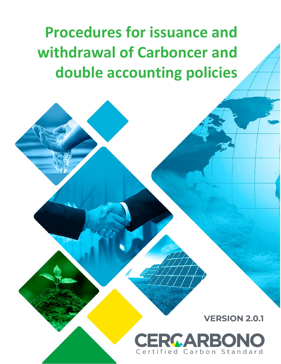**Procedures for issuance and withdrawal of Carboncer and double accounting policies**

**VERSION 2.0.1**

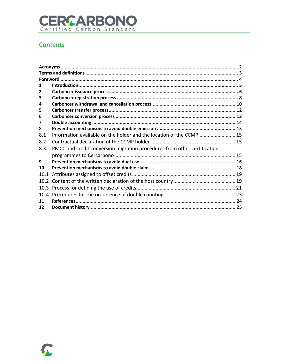# **CERCARBONO**

## **Contents**

| 1                 |                                                                          |  |  |  |
|-------------------|--------------------------------------------------------------------------|--|--|--|
| 2                 |                                                                          |  |  |  |
| 3                 |                                                                          |  |  |  |
| 4                 |                                                                          |  |  |  |
| 5                 |                                                                          |  |  |  |
| 6                 |                                                                          |  |  |  |
| 7                 |                                                                          |  |  |  |
| 8                 |                                                                          |  |  |  |
| 8.1               | Information available on the holder and the location of the CCMP  15     |  |  |  |
| 8.2               |                                                                          |  |  |  |
| 8.3               | PMCC and credit conversion migration procedures from other certification |  |  |  |
|                   |                                                                          |  |  |  |
| 9                 |                                                                          |  |  |  |
| 10                |                                                                          |  |  |  |
| 10.1              |                                                                          |  |  |  |
| 10.2 <sup>2</sup> |                                                                          |  |  |  |
| 10.3              |                                                                          |  |  |  |
| 10.4              |                                                                          |  |  |  |
| 11                |                                                                          |  |  |  |
| 12                |                                                                          |  |  |  |

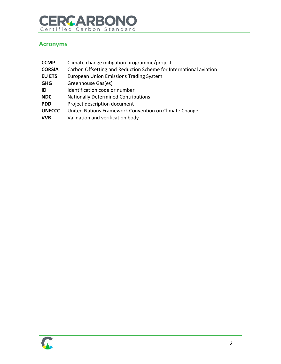# **CERCARBONO**

## <span id="page-2-0"></span>**Acronyms**

| <b>CCMP</b>   | Climate change mitigation programme/project                       |
|---------------|-------------------------------------------------------------------|
| <b>CORSIA</b> | Carbon Offsetting and Reduction Scheme for International aviation |
| <b>EU ETS</b> | <b>European Union Emissions Trading System</b>                    |
| <b>GHG</b>    | Greenhouse Gas(es)                                                |
| ID            | Identification code or number                                     |
| <b>NDC</b>    | <b>Nationally Determined Contributions</b>                        |
| <b>PDD</b>    | Project description document                                      |
| <b>UNFCCC</b> | United Nations Framework Convention on Climate Change             |
| <b>VVB</b>    | Validation and verification body                                  |
|               |                                                                   |

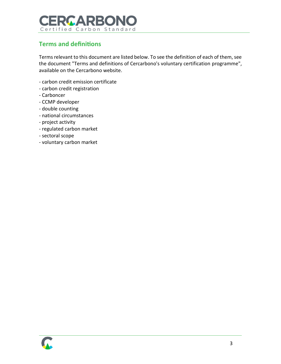

## <span id="page-3-0"></span>**Terms and definitions**

Terms relevant to this document are listed below. To see the definition of each of them, see the document "Terms and definitions of Cercarbono's voluntary certification programme", available on the Cercarbono website.

- carbon credit emission certificate
- carbon credit registration
- Carboncer
- CCMP developer
- double counting
- national circumstances
- project activity
- regulated carbon market
- sectoral scope
- voluntary carbon market

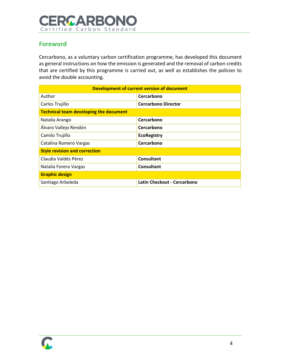# **CERCARBONO** Certified Carbon Standard

## <span id="page-4-0"></span>**Foreword**

Cercarbono, as a voluntary carbon certification programme, has developed this document as general instructions on how the emission is generated and the removal of carbon credits that are certified by this programme is carried out, as well as establishes the policies to avoid the double accounting.

| <b>Development of current version of document</b> |                             |  |  |  |
|---------------------------------------------------|-----------------------------|--|--|--|
| Author                                            | Cercarbono                  |  |  |  |
| Carlos Trujillo                                   | <b>Cercarbono Director</b>  |  |  |  |
| <b>Technical team developing the document</b>     |                             |  |  |  |
| Natalia Arango                                    | Cercarbono                  |  |  |  |
| Álvaro Vallejo Rendón                             | Cercarbono                  |  |  |  |
| Camilo Trujillo                                   | <b>EcoRegistry</b>          |  |  |  |
| Catalina Romero Vargas                            | Cercarbono                  |  |  |  |
| <b>Style revision and correction</b>              |                             |  |  |  |
| Claudia Valdés Pérez                              | Consultant                  |  |  |  |
| Natalia Forero Vargas                             | Consultant                  |  |  |  |
| <b>Graphic design</b>                             |                             |  |  |  |
| Santiago Arboleda                                 | Latin Checkout - Cercarbono |  |  |  |

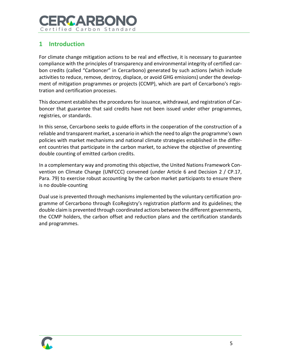# RGARRO Certified Carbon Standard

## <span id="page-5-0"></span>**1 Introduction**

For climate change mitigation actions to be real and effective, it is necessary to guarantee compliance with the principles of transparency and environmental integrity of certified carbon credits (called "Carboncer" in Cercarbono) generated by such actions (which include activities to reduce, remove, destroy, displace, or avoid GHG emissions) under the development of mitigation programmes or projects (CCMP), which are part of Cercarbono's registration and certification processes.

This document establishes the procedures for issuance, withdrawal, and registration of Carboncer that guarantee that said credits have not been issued under other programmes, registries, or standards.

In this sense, Cercarbono seeks to guide efforts in the cooperation of the construction of a reliable and transparent market, a scenario in which the need to align the programme's own policies with market mechanisms and national climate strategies established in the different countries that participate in the carbon market, to achieve the objective of preventing double counting of emitted carbon credits.

In a complementary way and promoting this objective, the United Nations Framework Convention on Climate Change (UNFCCC) convened (under Article 6 and Decision 2 / CP.17, Para. 79) to exercise robust accounting by the carbon market participants to ensure there is no double-counting

Dual use is prevented through mechanisms implemented by the voluntary certification programme of Cercarbono through EcoRegistry's registration platform and its guidelines; the double claim is prevented through coordinated actions between the different governments, the CCMP holders, the carbon offset and reduction plans and the certification standards and programmes.

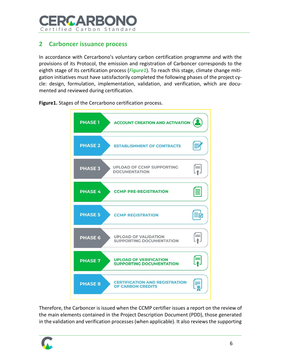

#### <span id="page-6-0"></span>**2 Carboncer issuance process**

In accordance with Cercarbono's voluntary carbon certification programme and with the provisions of its Protocol, the emission and registration of Carboncer corresponds to the eighth stage of its certification process (*[Figure1](#page-6-1)*). To reach this stage, climate change mitigation initiatives must have satisfactorily completed the following phases of the project cycle: design, formulation, implementation, validation, and verification, which are documented and reviewed during certification.



<span id="page-6-1"></span>**Figure1.** Stages of the Cercarbono certification process.

Therefore, the Carboncer is issued when the CCMP certifier issues a report on the review of the main elements contained in the Project Description Document (PDD), those generated in the validation and verification processes (when applicable). It also reviews the supporting

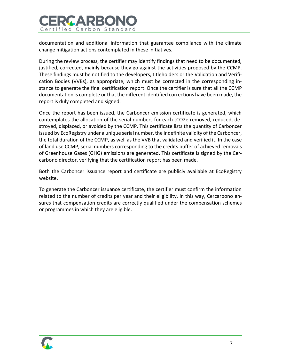

documentation and additional information that guarantee compliance with the climate change mitigation actions contemplated in these initiatives.

During the review process, the certifier may identify findings that need to be documented, justified, corrected, mainly because they go against the activities proposed by the CCMP. These findings must be notified to the developers, titleholders or the Validation and Verification Bodies (VVBs), as appropriate, which must be corrected in the corresponding instance to generate the final certification report. Once the certifier is sure that all the CCMP documentation is complete or that the different identified corrections have been made, the report is duly completed and signed.

Once the report has been issued, the Carboncer emission certificate is generated, which contemplates the allocation of the serial numbers for each tCO2e removed, reduced, destroyed, displaced, or avoided by the CCMP. This certificate lists the quantity of Carboncer issued by EcoRegistry under a unique serial number, the indefinite validity of the Carboncer, the total duration of the CCMP, as well as the VVB that validated and verified it. In the case of land use CCMP, serial numbers corresponding to the credits buffer of achieved removals of Greenhouse Gases (GHG) emissions are generated. This certificate is signed by the Cercarbono director, verifying that the certification report has been made.

Both the Carboncer issuance report and certificate are publicly available at EcoRegistry website.

To generate the Carboncer issuance certificate, the certifier must confirm the information related to the number of credits per year and their eligibility. In this way, Cercarbono ensures that compensation credits are correctly qualified under the compensation schemes or programmes in which they are eligible.

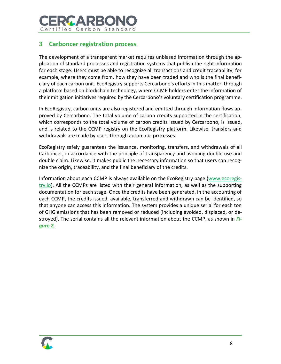

#### <span id="page-8-0"></span>**3 Carboncer registration process**

The development of a transparent market requires unbiased information through the application of standard processes and registration systems that publish the right information for each stage. Users must be able to recognize all transactions and credit traceability; for example, where they come from, how they have been traded and who is the final beneficiary of each carbon unit. EcoRegistry supports Cercarbono's efforts in this matter, through a platform based on blockchain technology, where CCMP holders enter the information of their mitigation initiatives required by the Cercarbono's voluntary certification programme.

In EcoRegistry, carbon units are also registered and emitted through information flows approved by Cercarbono. The total volume of carbon credits supported in the certification, which corresponds to the total volume of carbon credits issued by Cercarbono, is issued, and is related to the CCMP registry on the EcoRegistry platform. Likewise, transfers and withdrawals are made by users through automatic processes.

EcoRegistry safely guarantees the issuance, monitoring, transfers, and withdrawals of all Carboncer, in accordance with the principle of transparency and avoiding double use and double claim. Likewise, it makes public the necessary information so that users can recognize the origin, traceability, and the final beneficiary of the credits.

Information about each CCMP is always available on the EcoRegistry page [\(www.ecoregis](file:///P:/_dat/_AlDocs/_docs/Cercarbono/_Archivos%20CERCARBONO/Temas%20técnicos/Doble%20contabilidad/www.ecoregistry.io)[try.io\)](file:///P:/_dat/_AlDocs/_docs/Cercarbono/_Archivos%20CERCARBONO/Temas%20técnicos/Doble%20contabilidad/www.ecoregistry.io). All the CCMPs are listed with their general information, as well as the supporting documentation for each stage. Once the credits have been generated, in the accounting of each CCMP, the credits issued, available, transferred and withdrawn can be identified, so that anyone can access this information. The system provides a unique serial for each ton of GHG emissions that has been removed or reduced (including avoided, displaced, or destroyed). The serial contains all the relevant information about the CCMP, as shown in *[Fi](#page-9-0)[gure 2](#page-9-0)*.

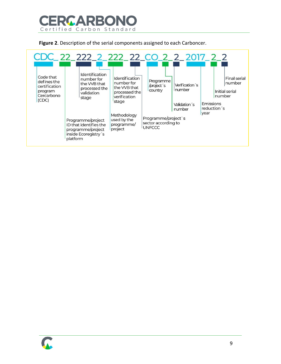

<span id="page-9-0"></span>**Figure 2**. Description of the serial components assigned to each Carboncer.



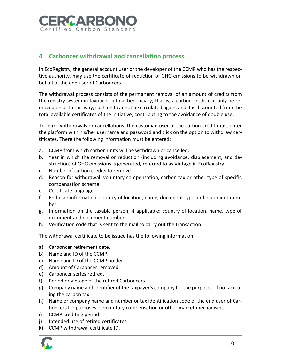

#### <span id="page-10-0"></span>**4 Carboncer withdrawal and cancellation process**

In EcoRegistry, the general account user or the developer of the CCMP who has the respective authority, may use the certificate of reduction of GHG emissions to be withdrawn on behalf of the end user of Carboncers.

The withdrawal process consists of the permanent removal of an amount of credits from the registry system in favour of a final beneficiary; that is, a carbon credit can only be removed once. In this way, such unit cannot be circulated again, and it is discounted from the total available certificates of the initiative, contributing to the avoidance of double use.

To make withdrawals or cancellations, the custodian user of the carbon credit must enter the platform with his/her username and password and click on the option to withdraw certificates. There the following information must be entered:

- a. CCMP from which carbon units will be withdrawn or cancelled.
- b. Year in which the removal or reduction (including avoidance, displacement, and destruction) of GHG emissions is generated, referred to as Vintage in EcoRegistry.
- c. Number of carbon credits to remove.
- d. Reason for withdrawal: voluntary compensation, carbon tax or other type of specific compensation scheme.
- e. Certificate language.
- f. End user information: country of location, name, document type and document number.
- g. Information on the taxable person, if applicable: country of location, name, type of document and document number.
- h. Verification code that is sent to the mail to carry out the transaction.

The withdrawal certificate to be issued has the following information:

- a) Carboncer retirement date.
- b) Name and ID of the CCMP.
- c) Name and ID of the CCMP holder.
- d) Amount of Carboncer removed.
- e) Carboncer series retired.
- f) Period or vintage of the retired Carboncers.
- g) Company name and identifier of the taxpayer's company for the purposes of not accruing the carbon tax.
- h) Name or company name and number or tax identification code of the end user of Carboncers for purposes of voluntary compensation or other market mechanisms.
- i) CCMP crediting period.
- j) Intended use of retired certificates.
- k) CCMP withdrawal certificate ID.

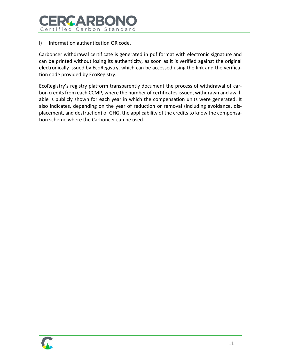

#### l) Information authentication QR code.

Carboncer withdrawal certificate is generated in pdf format with electronic signature and can be printed without losing its authenticity, as soon as it is verified against the original electronically issued by EcoRegistry, which can be accessed using the link and the verification code provided by EcoRegistry.

EcoRegistry's registry platform transparently document the process of withdrawal of carbon credits from each CCMP, where the number of certificates issued, withdrawn and available is publicly shown for each year in which the compensation units were generated. It also indicates, depending on the year of reduction or removal (including avoidance, displacement, and destruction) of GHG, the applicability of the credits to know the compensation scheme where the Carboncer can be used.

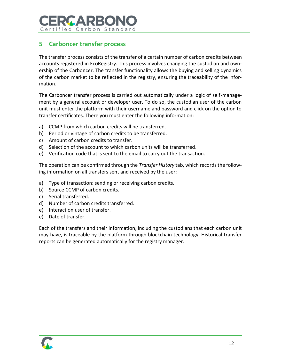

## <span id="page-12-0"></span>**5 Carboncer transfer process**

The transfer process consists of the transfer of a certain number of carbon credits between accounts registered in EcoRegistry. This process involves changing the custodian and ownership of the Carboncer. The transfer functionality allows the buying and selling dynamics of the carbon market to be reflected in the registry, ensuring the traceability of the information.

The Carboncer transfer process is carried out automatically under a logic of self-management by a general account or developer user. To do so, the custodian user of the carbon unit must enter the platform with their username and password and click on the option to transfer certificates. There you must enter the following information:

- a) CCMP from which carbon credits will be transferred.
- b) Period or vintage of carbon credits to be transferred.
- c) Amount of carbon credits to transfer.
- d) Selection of the account to which carbon units will be transferred.
- e) Verification code that is sent to the email to carry out the transaction.

The operation can be confirmed through the *Transfer History* tab, which records the following information on all transfers sent and received by the user:

- a) Type of transaction: sending or receiving carbon credits.
- b) Source CCMP of carbon credits.
- c) Serial transferred.
- d) Number of carbon credits transferred.
- e) Interaction user of transfer.
- e) Date of transfer.

Each of the transfers and their information, including the custodians that each carbon unit may have, is traceable by the platform through blockchain technology. Historical transfer reports can be generated automatically for the registry manager.

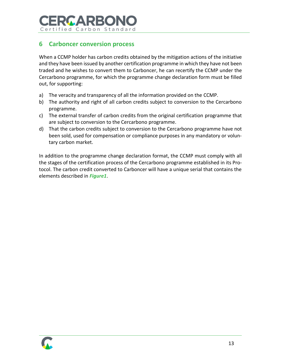# RCARBOI Certified Carbon Standard

## <span id="page-13-0"></span>**6 Carboncer conversion process**

When a CCMP holder has carbon credits obtained by the mitigation actions of the initiative and they have been issued by another certification programme in which they have not been traded and he wishes to convert them to Carboncer, he can recertify the CCMP under the Cercarbono programme, for which the programme change declaration form must be filled out, for supporting:

- a) The veracity and transparency of all the information provided on the CCMP.
- b) The authority and right of all carbon credits subject to conversion to the Cercarbono programme.
- c) The external transfer of carbon credits from the original certification programme that are subject to conversion to the Cercarbono programme.
- d) That the carbon credits subject to conversion to the Cercarbono programme have not been sold, used for compensation or compliance purposes in any mandatory or voluntary carbon market.

In addition to the programme change declaration format, the CCMP must comply with all the stages of the certification process of the Cercarbono programme established in its Protocol. The carbon credit converted to Carboncer will have a unique serial that contains the elements described in *[Figure1](#page-6-1)*.

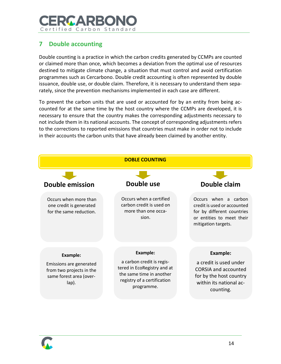# **GAPR** Certified Carbon Standard

## <span id="page-14-0"></span>**7 Double accounting**

Double counting is a practice in which the carbon credits generated by CCMPs are counted or claimed more than once, which becomes a deviation from the optimal use of resources destined to mitigate climate change, a situation that must control and avoid certification programmes such as Cercarbono. Double credit accounting is often represented by double issuance, double use, or double claim. Therefore, it is necessary to understand them separately, since the prevention mechanisms implemented in each case are different.

To prevent the carbon units that are used or accounted for by an entity from being accounted for at the same time by the host country where the CCMPs are developed, it is necessary to ensure that the country makes the corresponding adjustments necessary to not include them in its national accounts. The concept of corresponding adjustments refers to the corrections to reported emissions that countries must make in order not to include in their accounts the carbon units that have already been claimed by another entity.



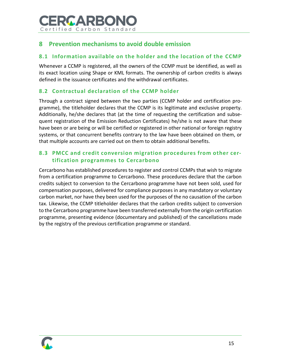

#### <span id="page-15-0"></span>**8 Prevention mechanisms to avoid double emission**

#### <span id="page-15-1"></span>**8.1 Information available on the holder and the location of the CCMP**

Whenever a CCMP is registered, all the owners of the CCMP must be identified, as well as its exact location using Shape or KML formats. The ownership of carbon credits is always defined in the issuance certificates and the withdrawal certificates.

#### <span id="page-15-2"></span>**8.2 Contractual declaration of the CCMP holder**

Through a contract signed between the two parties (CCMP holder and certification programme), the titleholder declares that the CCMP is its legitimate and exclusive property. Additionally, he/she declares that (at the time of requesting the certification and subsequent registration of the Emission Reduction Certificates) he/she is not aware that these have been or are being or will be certified or registered in other national or foreign registry systems, or that concurrent benefits contrary to the law have been obtained on them, or that multiple accounts are carried out on them to obtain additional benefits.

#### <span id="page-15-3"></span>**8.3 PMCC and credit conversion migration procedures from other certification programmes to Cercarbono**

Cercarbono has established procedures to register and control CCMPs that wish to migrate from a certification programme to Cercarbono. These procedures declare that the carbon credits subject to conversion to the Cercarbono programme have not been sold, used for compensation purposes, delivered for compliance purposes in any mandatory or voluntary carbon market, nor have they been used for the purposes of the no causation of the carbon tax. Likewise, the CCMP titleholder declares that the carbon credits subject to conversion to the Cercarbono programme have been transferred externally from the origin certification programme, presenting evidence (documentary and published) of the cancellations made by the registry of the previous certification programme or standard.

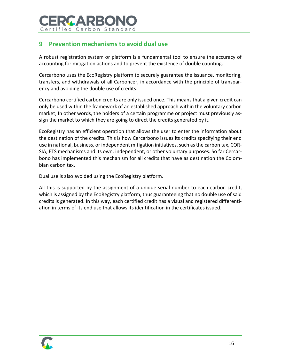

### <span id="page-16-0"></span>**9 Prevention mechanisms to avoid dual use**

A robust registration system or platform is a fundamental tool to ensure the accuracy of accounting for mitigation actions and to prevent the existence of double counting.

Cercarbono uses the EcoRegistry platform to securely guarantee the issuance, monitoring, transfers, and withdrawals of all Carboncer, in accordance with the principle of transparency and avoiding the double use of credits.

Cercarbono certified carbon credits are only issued once. This means that a given credit can only be used within the framework of an established approach within the voluntary carbon market; In other words, the holders of a certain programme or project must previously assign the market to which they are going to direct the credits generated by it.

EcoRegistry has an efficient operation that allows the user to enter the information about the destination of the credits. This is how Cercarbono issues its credits specifying their end use in national, business, or independent mitigation initiatives, such as the carbon tax, COR-SIA, ETS mechanisms and its own, independent, or other voluntary purposes. So far Cercarbono has implemented this mechanism for all credits that have as destination the Colombian carbon tax.

Dual use is also avoided using the EcoRegistry platform.

All this is supported by the assignment of a unique serial number to each carbon credit, which is assigned by the EcoRegistry platform, thus guaranteeing that no double use of said credits is generated. In this way, each certified credit has a visual and registered differentiation in terms of its end use that allows its identification in the certificates issued.

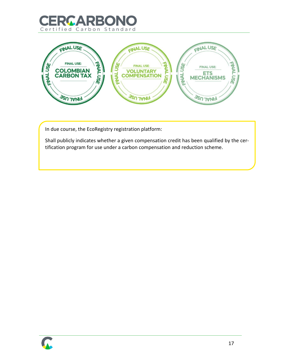



In due course, the EcoRegistry registration platform:

Shall publicly indicates whether a given compensation credit has been qualified by the certification program for use under a carbon compensation and reduction scheme.



17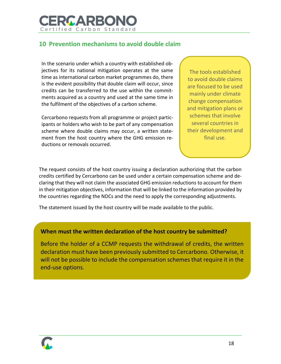

#### <span id="page-18-0"></span>**10 Prevention mechanisms to avoid double claim**

In the scenario under which a country with established objectives for its national mitigation operates at the same time as international carbon market programmes do, there is the evident possibility that double claim will occur, since credits can be transferred to the use within the commitments acquired as a country and used at the same time in the fulfilment of the objectives of a carbon scheme.

Cercarbono requests from all programme or project participants or holders who wish to be part of any compensation scheme where double claims may occur, a written statement from the host country where the GHG emission reductions or removals occurred.

The tools established to avoid double claims are focused to be used mainly under climate change compensation and mitigation plans or schemes that involve several countries in their development and final use.

The request consists of the host country issuing a declaration authorizing that the carbon credits certified by Cercarbono can be used under a certain compensation scheme and declaring that they will not claim the associated GHG emission reductions to account for them in their mitigation objectives, information that will be linked to the information provided by the countries regarding the NDCs and the need to apply the corresponding adjustments.

The statement issued by the host country will be made available to the public.

#### **When must the written declaration of the host country be submitted?**

Before the holder of a CCMP requests the withdrawal of credits, the written declaration must have been previously submitted to Cercarbono. Otherwise, it will not be possible to include the compensation schemes that require it in the end-use options.

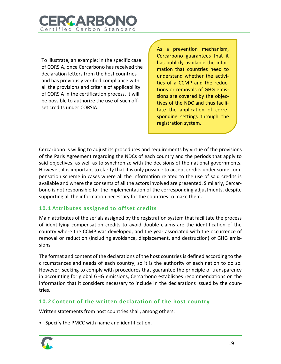

To illustrate, an example: in the specific case of CORSIA, once Cercarbono has received the declaration letters from the host countries and has previously verified compliance with all the provisions and criteria of applicability of CORSIA in the certification process, it will be possible to authorize the use of such offset credits under CORSIA.

As a prevention mechanism, Cercarbono guarantees that it has publicly available the information that countries need to understand whether the activities of a CCMP and the reductions or removals of GHG emissions are covered by the objectives of the NDC and thus facilitate the application of corresponding settings through the registration system.

Cercarbono is willing to adjust its procedures and requirements by virtue of the provisions of the Paris Agreement regarding the NDCs of each country and the periods that apply to said objectives, as well as to synchronize with the decisions of the national governments. However, it is important to clarify that it is only possible to accept credits under some compensation scheme in cases where all the information related to the use of said credits is available and where the consents of all the actors involved are presented. Similarly, Cercarbono is not responsible for the implementation of the corresponding adjustments, despite supporting all the information necessary for the countries to make them.

#### <span id="page-19-0"></span>**10.1 Attributes assigned to offset credits**

Main attributes of the serials assigned by the registration system that facilitate the process of identifying compensation credits to avoid double claims are the identification of the country where the CCMP was developed, and the year associated with the occurrence of removal or reduction (including avoidance, displacement, and destruction) of GHG emissions.

The format and content of the declarations of the host countries is defined according to the circumstances and needs of each country, so it is the authority of each nation to do so. However, seeking to comply with procedures that guarantee the principle of transparency in accounting for global GHG emissions, Cercarbono establishes recommendations on the information that it considers necessary to include in the declarations issued by the countries.

#### <span id="page-19-1"></span>**10.2 Content of the written declaration of the host country**

Written statements from host countries shall, among others:

• Specify the PMCC with name and identification.

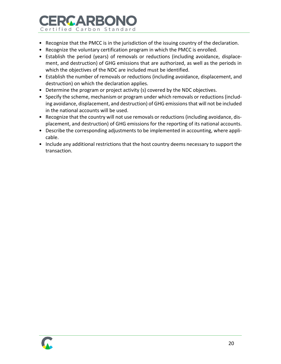# ERCARBON Certified Carbon Standard

- Recognize that the PMCC is in the jurisdiction of the issuing country of the declaration.
- Recognize the voluntary certification program in which the PMCC is enrolled.
- Establish the period (years) of removals or reductions (including avoidance, displacement, and destruction) of GHG emissions that are authorized, as well as the periods in which the objectives of the NDC are included must be identified.
- Establish the number of removals or reductions (including avoidance, displacement, and destruction) on which the declaration applies.
- Determine the program or project activity (s) covered by the NDC objectives.
- Specify the scheme, mechanism or program under which removals or reductions (including avoidance, displacement, and destruction) of GHG emissions that will not be included in the national accounts will be used.
- Recognize that the country will not use removals or reductions (including avoidance, displacement, and destruction) of GHG emissions for the reporting of its national accounts.
- Describe the corresponding adjustments to be implemented in accounting, where applicable.
- Include any additional restrictions that the host country deems necessary to support the transaction.

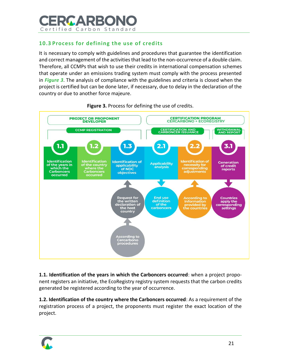

#### <span id="page-21-0"></span>**10.3 Process for defining the use of credits**

It is necessary to comply with guidelines and procedures that guarantee the identification and correct management of the activities that lead to the non-occurrence of a double claim. Therefore, all CCMPs that wish to use their credits in international compensation schemes that operate under an emissions trading system must comply with the process presented in *[Figure 3](#page-21-1)*. The analysis of compliance with the guidelines and criteria is closed when the project is certified but can be done later, if necessary, due to delay in the declaration of the country or due to another force majeure.

<span id="page-21-1"></span>

**Figure 3.** Process for defining the use of credits.

**1.1. Identification of the years in which the Carboncers occurred**: when a project proponent registers an initiative, the EcoRegistry registry system requests that the carbon credits generated be registered according to the year of occurrence.

**1.2. Identification of the country where the Carboncers occurred**: As a requirement of the registration process of a project, the proponents must register the exact location of the project.

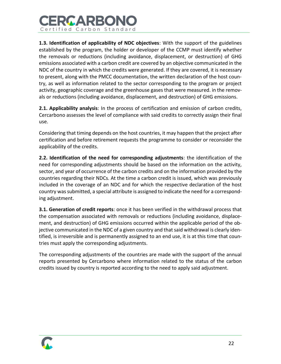

**1.3. Identification of applicability of NDC objectives**: With the support of the guidelines established by the program, the holder or developer of the CCMP must identify whether the removals or reductions (including avoidance, displacement, or destruction) of GHG emissions associated with a carbon credit are covered by an objective communicated in the NDC of the country in which the credits were generated. If they are covered, it is necessary to present, along with the PMCC documentation, the written declaration of the host country, as well as information related to the sector corresponding to the program or project activity, geographic coverage and the greenhouse gases that were measured. in the removals or reductions (including avoidance, displacement, and destruction) of GHG emissions.

**2.1. Applicability analysis**: In the process of certification and emission of carbon credits, Cercarbono assesses the level of compliance with said credits to correctly assign their final use.

Considering that timing depends on the host countries, it may happen that the project after certification and before retirement requests the programme to consider or reconsider the applicability of the credits.

**2.2. Identification of the need for corresponding adjustments**: the identification of the need for corresponding adjustments should be based on the information on the activity, sector, and year of occurrence of the carbon credits and on the information provided by the countries regarding their NDCs. At the time a carbon credit is issued, which was previously included in the coverage of an NDC and for which the respective declaration of the host country was submitted, a special attribute is assigned to indicate the need for a corresponding adjustment.

**3.1. Generation of credit reports**: once it has been verified in the withdrawal process that the compensation associated with removals or reductions (including avoidance, displacement, and destruction) of GHG emissions occurred within the applicable period of the objective communicated in the NDC of a given country and that said withdrawal is clearly identified, is irreversible and is permanently assigned to an end use, it is at this time that countries must apply the corresponding adjustments.

The corresponding adjustments of the countries are made with the support of the annual reports presented by Cercarbono where information related to the status of the carbon credits issued by country is reported according to the need to apply said adjustment.

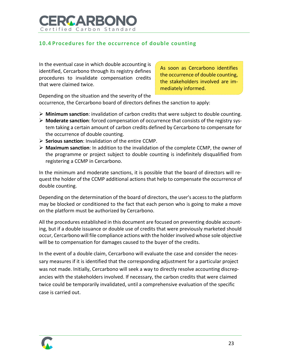

#### <span id="page-23-0"></span>**10.4 Procedures for the occurrence of double counting**

In the eventual case in which double accounting is identified, Cercarbono through its registry defines procedures to invalidate compensation credits that were claimed twice.

As soon as Cercarbono identifies the occurrence of double counting, the stakeholders involved are immediately informed.

Depending on the situation and the severity of the occurrence, the Cercarbono board of directors defines the sanction to apply:

- ➢ **Minimum sanction**: invalidation of carbon credits that were subject to double counting.
- ➢ **Moderate sanction**: forced compensation of occurrence that consists of the registry system taking a certain amount of carbon credits defined by Cercarbono to compensate for the occurrence of double counting.
- ➢ **Serious sanction**: Invalidation of the entire CCMP.
- ➢ **Maximum sanction**: In addition to the invalidation of the complete CCMP, the owner of the programme or project subject to double counting is indefinitely disqualified from registering a CCMP in Cercarbono.

In the minimum and moderate sanctions, it is possible that the board of directors will request the holder of the CCMP additional actions that help to compensate the occurrence of double counting.

Depending on the determination of the board of directors, the user's access to the platform may be blocked or conditioned to the fact that each person who is going to make a move on the platform must be authorized by Cercarbono.

All the procedures established in this document are focused on preventing double accounting, but if a double issuance or double use of credits that were previously marketed should occur, Cercarbono will file compliance actions with the holder involved whose sole objective will be to compensation for damages caused to the buyer of the credits.

In the event of a double claim, Cercarbono will evaluate the case and consider the necessary measures if it is identified that the corresponding adjustment for a particular project was not made. Initially, Cercarbono will seek a way to directly resolve accounting discrepancies with the stakeholders involved. If necessary, the carbon credits that were claimed twice could be temporarily invalidated, until a comprehensive evaluation of the specific case is carried out.

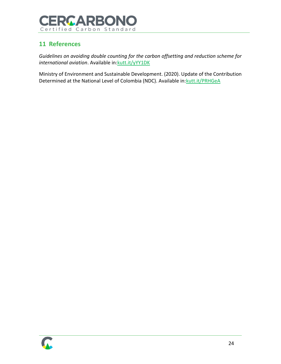

## <span id="page-24-0"></span>**11 References**

*Guidelines on avoiding double counting for the carbon offsetting and reduction scheme for international aviation*. Available in: kutt.it/yYY1DK

Ministry of Environment and Sustainable Development. (2020). Update of the Contribution Determined at the National Level of Colombia (NDC). Available in: kutt.it/PRHGeA

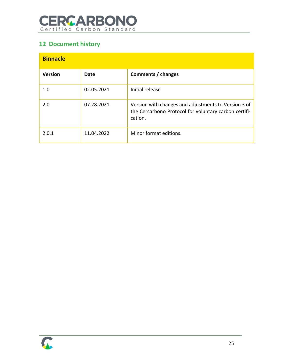# **CERCARBONO**

# <span id="page-25-0"></span>**12 Document history**

| <b>Binnacle</b> |            |                                                                                                                          |  |  |  |
|-----------------|------------|--------------------------------------------------------------------------------------------------------------------------|--|--|--|
| <b>Version</b>  | Date       | Comments / changes                                                                                                       |  |  |  |
| 1.0             | 02.05.2021 | Initial release                                                                                                          |  |  |  |
| 2.0             | 07.28.2021 | Version with changes and adjustments to Version 3 of<br>the Cercarbono Protocol for voluntary carbon certifi-<br>cation. |  |  |  |
| 2.0.1           | 11.04.2022 | Minor format editions.                                                                                                   |  |  |  |